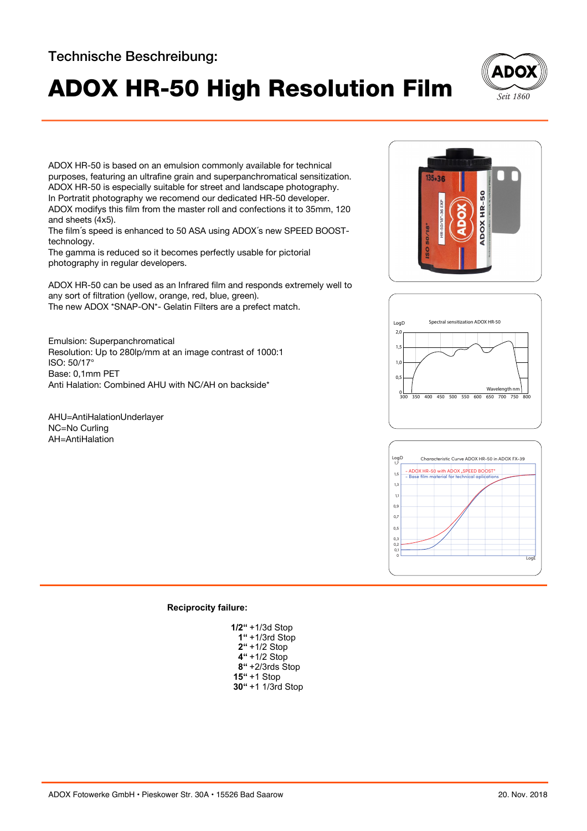## Technische Beschreibung:

## ADOX HR-50 High Resolution Film **Sett 1860**



ADOX HR-50 is based on an emulsion commonly available for technical purposes, featuring an ultrafine grain and superpanchromatical sensitization. ADOX HR-50 is especially suitable for street and landscape photography. In Portratit photography we recomend our dedicated HR-50 developer. ADOX modifys this film from the master roll and confections it to 35mm, 120 and sheets (4x5).

The film´s speed is enhanced to 50 ASA using ADOX´s new SPEED BOOSTtechnology.

The gamma is reduced so it becomes perfectly usable for pictorial photography in regular developers.

ADOX HR-50 can be used as an Infrared film and responds extremely well to any sort of filtration (yellow, orange, red, blue, green). The new ADOX \*SNAP-ON\*- Gelatin Filters are a prefect match.

Emulsion: Superpanchromatical Resolution: Up to 280lp/mm at an image contrast of 1000:1 ISO: 50/17° Base: 0,1mm PET Anti Halation: Combined AHU with NC/AH on backside\*

AHU=AntiHalationUnderlayer NC=No Curling AH=AntiHalation







## **Reciprocity failure:**

| 1/2" +1/3d Stop    |
|--------------------|
| $1" + 1/3$ rd Stop |
| $2'' + 1/2$ Stop   |
| 4" +1/2 Stop       |
| 8"+2/3rds Stop     |
| <b>15"</b> +1 Stop |
| 30" +1 1/3rd Stop  |